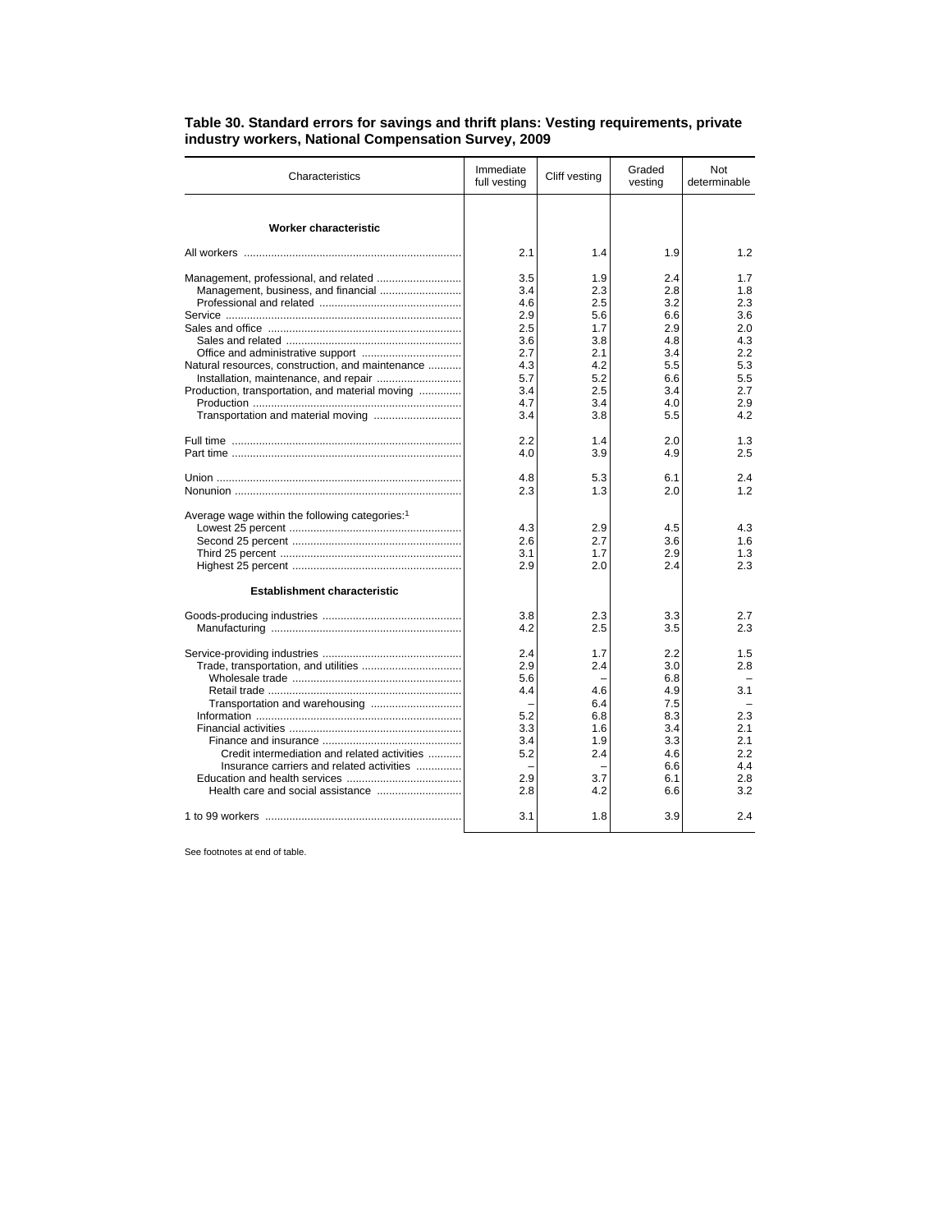| Characteristics                                                                                     | Immediate<br>full vesting                                          | Cliff vesting                                                      | Graded<br>vesting                                                  | Not<br>determinable                                                |
|-----------------------------------------------------------------------------------------------------|--------------------------------------------------------------------|--------------------------------------------------------------------|--------------------------------------------------------------------|--------------------------------------------------------------------|
| Worker characteristic                                                                               |                                                                    |                                                                    |                                                                    |                                                                    |
|                                                                                                     | 2.1                                                                | 1.4                                                                | 1.9                                                                | 1.2                                                                |
| Natural resources, construction, and maintenance<br>Production, transportation, and material moving | 3.5<br>3.4<br>4.6<br>2.9<br>2.5<br>3.6<br>2.7<br>4.3<br>5.7<br>3.4 | 1.9<br>2.3<br>2.5<br>5.6<br>1.7<br>3.8<br>2.1<br>4.2<br>5.2<br>2.5 | 2.4<br>2.8<br>3.2<br>6.6<br>2.9<br>4.8<br>3.4<br>5.5<br>6.6<br>3.4 | 1.7<br>1.8<br>2.3<br>3.6<br>2.0<br>4.3<br>2.2<br>5.3<br>5.5<br>2.7 |
|                                                                                                     | 4.7<br>3.4                                                         | 3.4<br>3.8                                                         | 4.0<br>5.5                                                         | 2.9<br>4.2                                                         |
|                                                                                                     | 2.2<br>4.0                                                         | 1.4<br>3.9                                                         | 2.0<br>4.9                                                         | 1.3<br>2.5                                                         |
|                                                                                                     | 4.8<br>2.3                                                         | 5.3<br>1.3                                                         | 6.1<br>2.0                                                         | 2.4<br>1.2                                                         |
| Average wage within the following categories: <sup>1</sup><br><b>Establishment characteristic</b>   | 4.3<br>2.6<br>3.1<br>2.9                                           | 2.9<br>2.7<br>1.7<br>2.0                                           | 4.5<br>3.6<br>2.9<br>2.4                                           | 4.3<br>1.6<br>1.3<br>2.3                                           |
|                                                                                                     | 3.8<br>4.2                                                         | 2.3<br>2.5                                                         | 3.3<br>3.5                                                         | 2.7<br>2.3                                                         |
|                                                                                                     | 2.4<br>2.9<br>5.6<br>4.4<br>5.2<br>3.3<br>3.4                      | 1.7<br>2.4<br>4.6<br>6.4<br>6.8<br>1.6<br>1.9                      | 2.2<br>3.0<br>6.8<br>4.9<br>7.5<br>8.3<br>3.4<br>3.3               | 1.5<br>2.8<br>3.1<br>2.3<br>2.1<br>2.1                             |
| Credit intermediation and related activities<br>Insurance carriers and related activities           | 5.2<br>2.9<br>2.8                                                  | 2.4<br>3.7<br>4.2                                                  | 4.6<br>6.6<br>6.1<br>6.6                                           | 2.2<br>4.4<br>2.8<br>3.2                                           |
|                                                                                                     | 3.1                                                                | 1.8                                                                | 3.9                                                                | 2.4                                                                |

## **Table 30. Standard errors for savings and thrift plans: Vesting requirements, private industry workers, National Compensation Survey, 2009**

See footnotes at end of table.